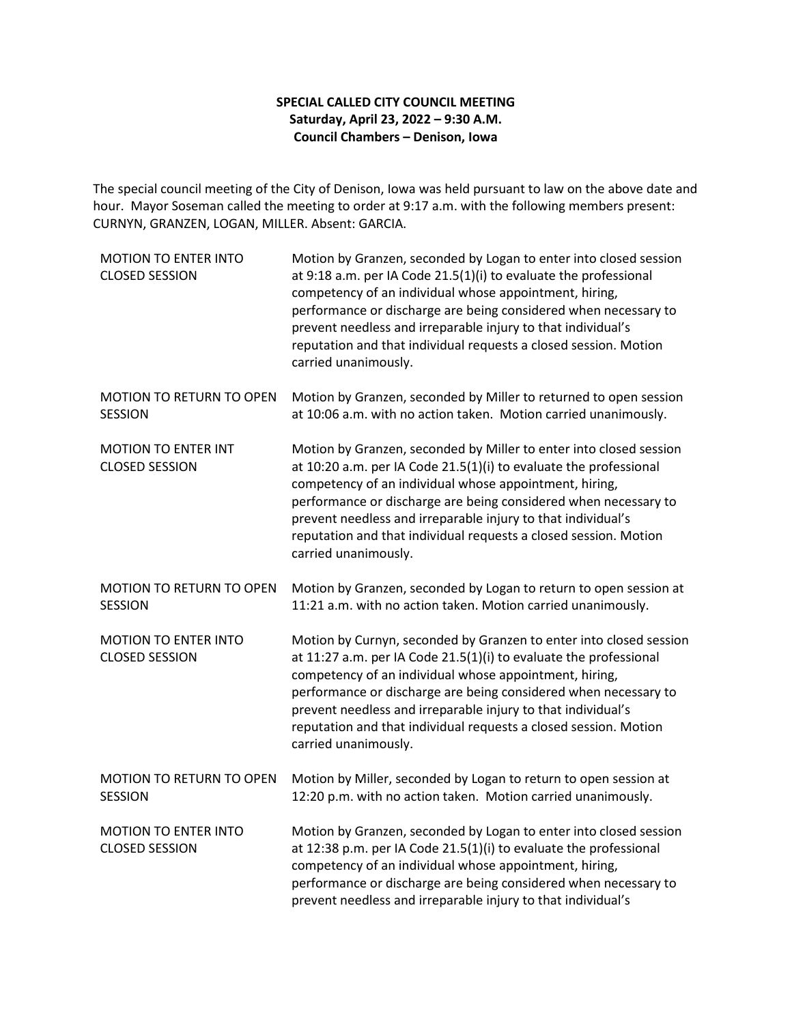## **SPECIAL CALLED CITY COUNCIL MEETING Saturday, April 23, 2022 – 9:30 A.M. Council Chambers – Denison, Iowa**

The special council meeting of the City of Denison, Iowa was held pursuant to law on the above date and hour. Mayor Soseman called the meeting to order at 9:17 a.m. with the following members present: CURNYN, GRANZEN, LOGAN, MILLER. Absent: GARCIA.

| MOTION TO ENTER INTO<br><b>CLOSED SESSION</b>        | Motion by Granzen, seconded by Logan to enter into closed session<br>at 9:18 a.m. per IA Code 21.5(1)(i) to evaluate the professional<br>competency of an individual whose appointment, hiring,<br>performance or discharge are being considered when necessary to<br>prevent needless and irreparable injury to that individual's<br>reputation and that individual requests a closed session. Motion<br>carried unanimously.   |
|------------------------------------------------------|----------------------------------------------------------------------------------------------------------------------------------------------------------------------------------------------------------------------------------------------------------------------------------------------------------------------------------------------------------------------------------------------------------------------------------|
| MOTION TO RETURN TO OPEN<br><b>SESSION</b>           | Motion by Granzen, seconded by Miller to returned to open session<br>at 10:06 a.m. with no action taken. Motion carried unanimously.                                                                                                                                                                                                                                                                                             |
| <b>MOTION TO ENTER INT</b><br><b>CLOSED SESSION</b>  | Motion by Granzen, seconded by Miller to enter into closed session<br>at 10:20 a.m. per IA Code 21.5(1)(i) to evaluate the professional<br>competency of an individual whose appointment, hiring,<br>performance or discharge are being considered when necessary to<br>prevent needless and irreparable injury to that individual's<br>reputation and that individual requests a closed session. Motion<br>carried unanimously. |
| <b>MOTION TO RETURN TO OPEN</b><br><b>SESSION</b>    | Motion by Granzen, seconded by Logan to return to open session at<br>11:21 a.m. with no action taken. Motion carried unanimously.                                                                                                                                                                                                                                                                                                |
| <b>MOTION TO ENTER INTO</b><br><b>CLOSED SESSION</b> | Motion by Curnyn, seconded by Granzen to enter into closed session<br>at 11:27 a.m. per IA Code 21.5(1)(i) to evaluate the professional<br>competency of an individual whose appointment, hiring,<br>performance or discharge are being considered when necessary to<br>prevent needless and irreparable injury to that individual's<br>reputation and that individual requests a closed session. Motion<br>carried unanimously. |
| <b>MOTION TO RETURN TO OPEN</b><br><b>SESSION</b>    | Motion by Miller, seconded by Logan to return to open session at<br>12:20 p.m. with no action taken. Motion carried unanimously.                                                                                                                                                                                                                                                                                                 |
| <b>MOTION TO ENTER INTO</b><br><b>CLOSED SESSION</b> | Motion by Granzen, seconded by Logan to enter into closed session<br>at 12:38 p.m. per IA Code 21.5(1)(i) to evaluate the professional<br>competency of an individual whose appointment, hiring,<br>performance or discharge are being considered when necessary to<br>prevent needless and irreparable injury to that individual's                                                                                              |